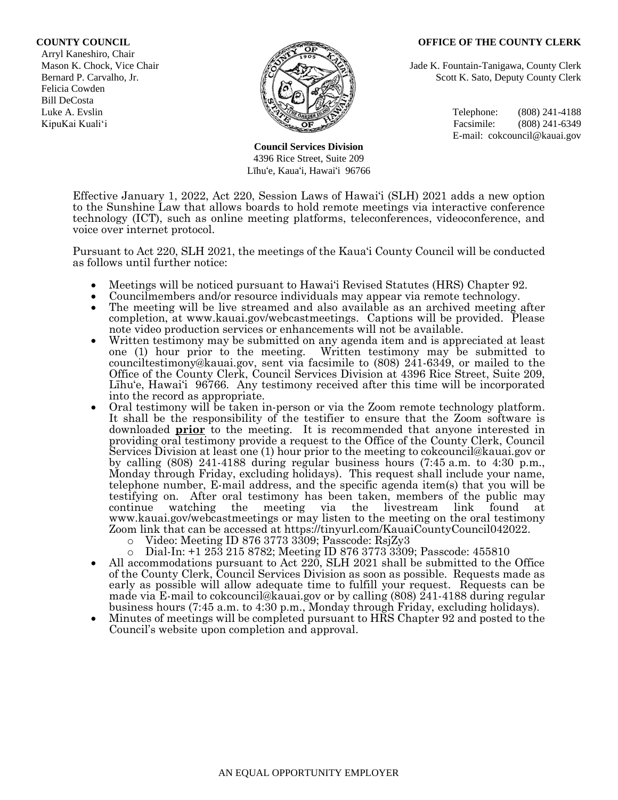## **COUNTY COUNCIL OFFICE OF THE COUNTY CLERK**

 Arryl Kaneshiro, Chair Felicia Cowden Bill DeCosta



**Council Services Division** 4396 Rice Street, Suite 209 Līhu'e, Kaua'i, Hawai'i 96766

Mason K. Chock, Vice Chair **Jade K. Fountain-Tanigawa, County Clerk** Jade K. Fountain-Tanigawa, County Clerk Bernard P. Carvalho, Jr. Scott K. Sato, Deputy County Clerk

Luke A. Evslin  $\mathbb{R}^n$  Telephone: (808) 241-4188 KipuKai Kuali'i Facsimile: (808) 241-6349 E-mail: cokcouncil@kauai.gov

Effective January 1, 2022, Act 220, Session Laws of Hawai'i (SLH) 2021 adds a new option to the Sunshine Law that allows boards to hold remote meetings via interactive conference technology (ICT), such as online meeting platforms, teleconferences, videoconference, and voice over internet protocol.

Pursuant to Act 220, SLH 2021, the meetings of the Kaua'i County Council will be conducted as follows until further notice:

- Meetings will be noticed pursuant to Hawai'i Revised Statutes (HRS) Chapter 92.
- Councilmembers and/or resource individuals may appear via remote technology.
- The meeting will be live streamed and also available as an archived meeting after completion, at www.kauai.gov/webcastmeetings. Captions will be provided. Please note video production services or enhancements will not be available.
- Written testimony may be submitted on any agenda item and is appreciated at least one (1) hour prior to the meeting. Written testimony may be submitted to counciltestimony@kauai.gov, sent via facsimile to (808) 241-6349, or mailed to the Office of the County Clerk, Council Services Division at 4396 Rice Street, Suite 209, Līhu'e, Hawai'i 96766. Any testimony received after this time will be incorporated into the record as appropriate.
- Oral testimony will be taken in-person or via the Zoom remote technology platform. It shall be the responsibility of the testifier to ensure that the Zoom software is downloaded **prior** to the meeting. It is recommended that anyone interested in providing oral testimony provide a request to the Office of the County Clerk, Council Services Division at least one (1) hour prior to the meeting to cokcouncil@kauai.gov or by calling (808) 241-4188 during regular business hours (7:45 a.m. to 4:30 p.m., Monday through Friday, excluding holidays). This request shall include your name, telephone number, E-mail address, and the specific agenda item(s) that you will be testifying on. After oral testimony has been taken, members of the public may continue watching the meeting via the livestream link found at www.kauai.gov/webcastmeetings or may listen to the meeting on the oral testimony Zoom link that can be accessed at https://tinyurl.com/KauaiCountyCouncil042022.
	- o Video: Meeting ID 876 3773 3309; Passcode: RsjZy3
	- o Dial-In: +1 253 215 8782; Meeting ID 876 3773 3309; Passcode: 455810
- All accommodations pursuant to Act 220, SLH 2021 shall be submitted to the Office of the County Clerk, Council Services Division as soon as possible. Requests made as early as possible will allow adequate time to fulfill your request. Requests can be made via E-mail to cokcouncil@kauai.gov or by calling (808) 241-4188 during regular business hours (7:45 a.m. to 4:30 p.m., Monday through Friday, excluding holidays).
- Minutes of meetings will be completed pursuant to HRS Chapter 92 and posted to the Council's website upon completion and approval.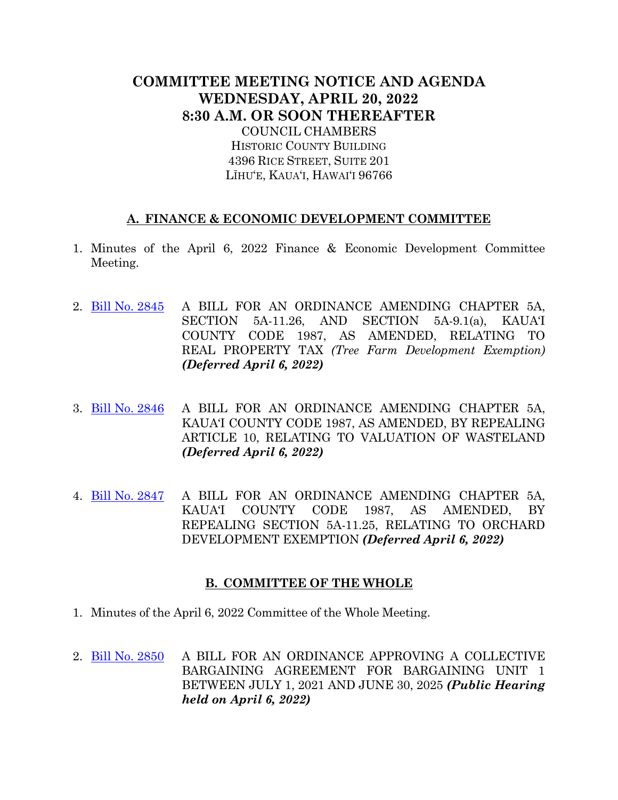## **COMMITTEE MEETING NOTICE AND AGENDA WEDNESDAY, APRIL 20, 2022 8:30 A.M. OR SOON THEREAFTER** COUNCIL CHAMBERS

HISTORIC COUNTY BUILDING 4396 RICE STREET, SUITE 201 LĪHU'E, KAUA'I, HAWAI'I 96766

## **A. FINANCE & ECONOMIC DEVELOPMENT COMMITTEE**

- 1. Minutes of the April 6, 2022 Finance & Economic Development Committee Meeting.
- 2. [Bill No. 2845](https://kauai.granicus.com/MetaViewer.php?view_id=&event_id=1037&meta_id=158788) A BILL FOR AN ORDINANCE AMENDING CHAPTER 5A, SECTION 5A-11.26, AND SECTION 5A-9.1(a), KAUA'I COUNTY CODE 1987, AS AMENDED, RELATING TO REAL PROPERTY TAX *(Tree Farm Development Exemption) (Deferred April 6, 2022)*
- 3. Bill [No. 2846](https://kauai.granicus.com/MetaViewer.php?view_id=&event_id=1037&meta_id=158790) A BILL FOR AN ORDINANCE AMENDING CHAPTER 5A, KAUA'I COUNTY CODE 1987, AS AMENDED, BY REPEALING ARTICLE 10, RELATING TO VALUATION OF WASTELAND *(Deferred April 6, 2022)*
- 4. [Bill No. 2847](https://kauai.granicus.com/MetaViewer.php?view_id=&event_id=1037&meta_id=158792) A BILL FOR AN ORDINANCE AMENDING CHAPTER 5A, KAUA'I COUNTY CODE 1987, AS AMENDED, BY REPEALING SECTION 5A-11.25, RELATING TO ORCHARD DEVELOPMENT EXEMPTION *(Deferred April 6, 2022)*

## **B. COMMITTEE OF THE WHOLE**

- 1. Minutes of the April 6, 2022 Committee of the Whole Meeting.
- 2. [Bill No. 2850](https://kauai.granicus.com/MetaViewer.php?view_id=&event_id=1037&meta_id=158794) A BILL FOR AN ORDINANCE APPROVING A COLLECTIVE BARGAINING AGREEMENT FOR BARGAINING UNIT 1 BETWEEN JULY 1, 2021 AND JUNE 30, 2025 *(Public Hearing held on April 6, 2022)*